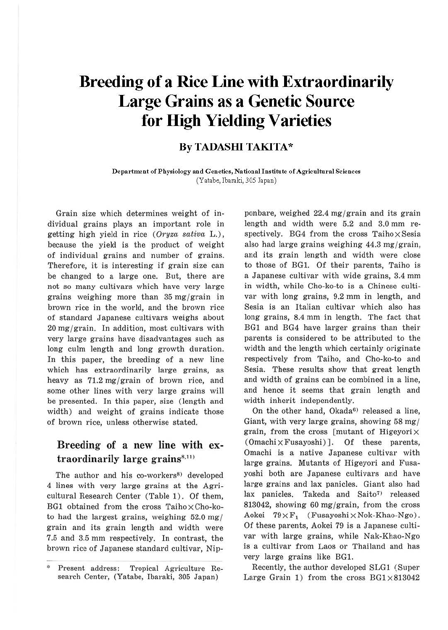# **Breeding of a Rice Line with Extraordinarily Large Grains as a Genetic Source for High Yielding Varieties**

### **ByTADASHITAKITA\***

**Department of Physiology and Genetics, National Institute of Agricultural Sciences**  (Yatabe, Ibaraki, 305 Japan)

Grain size which determines weight of individual grains plays an important role in getting high yield in rice *(Oryza sativa* L.), because the yield is the product of weight of individual grains and number of grains. Therefore, it is interesting if grain size can be changed to a large one. But, there are not so many cultivars which have very large grains weighing more than  $35 \frac{\text{mg}}{\text{grain}}$  in brown rice in the world, and the brown rice of standard Japanese cultivars weighs about 20 mg/grain. In addition, most cultivars with very large grains have disadvantages such as long culm length and long growth duration. In this paper, the breeding of a new line which has extraordinarily large grains, as heavy as 71.2 mg/grain of brown rice, and some other lines with very large grains will be presented. In this paper, size (length and width) and weight of grains indicate those of brown rice, unless otherwise stated.

# **Breeding of a new line with** extraordinarily large grains<sup>8,11)</sup>

The author and his co-workers<sup>8)</sup> developed 4 lines with very large grains at the Agricultural Research Center (Table 1). Of them, BG1 obtained from the cross Taiho $\times$ Cho-koto had the largest grains, weighing 52.0 mg/ grain and its grain length and width were 7.5 and 3.5 mm respectively. In contrast, the brown rice of Japanese standard cultivar, Nip-

ponbare, weighed  $22.4 \text{ mg/grain}$  and its grain length and width were 5.2 and 3.0 mm respectively. BG4 from the cross Taiho $\times$  Sesia also had large grains weighing 44.3 mg/grain, and its grain length and width were close to those of BGl. Of their parents, Taiho is a Japanese cultivar with wide grains, 3.4 mm in width, while Cho-ko-to is a Chinese cultivar with long grains, 9.2 mm in length, and Sesia is an Italian cultivar which also has long grains, 8.4 mm in length. The fact that BG1 and BG4 have larger grains than their parents is considered to be attributed to the width and the length which certainly originate respectively from Taiho, and Cho-ko-to and Sesia. These results show that great length and width of grains can be combined in a line, and hence it seems that grain length and width inherit independently.

On the other hand, Okada<sup>6</sup>) released a line, Giant, with very large grains, showing 58 mg/ grain, from the cross [mutant of Higeyori $\times$  $(Omachi \times Fusayoshi)]$ . Of these parents, Omachi is a native Japanese cultivar with large grains. Mutants of Higeyori and Fusayoshi both are Japanese cultivars and have large grains and lax panicles. Giant also had lax panicles. Takeda and Saito<sup>7)</sup> released 813042, showing 60 mg/grain, from the cross Aokei  $79 \times F_1$  (Fusayoshi  $\times$  Nok-Khao-Ngo). Of these parents, Aokei 79 is a Japanese cultivar with large grains, while Nak-Khao-Ngo is a cultivar from Laos or Thailand and has very large grains like BG!.

Recently, the author developed SLGl (Super Large Grain 1) from the cross  $BG1\times813042$ 

Present address: Tropical Agriculture Research Center, (Yatabe, lbaraki, 305 Japan)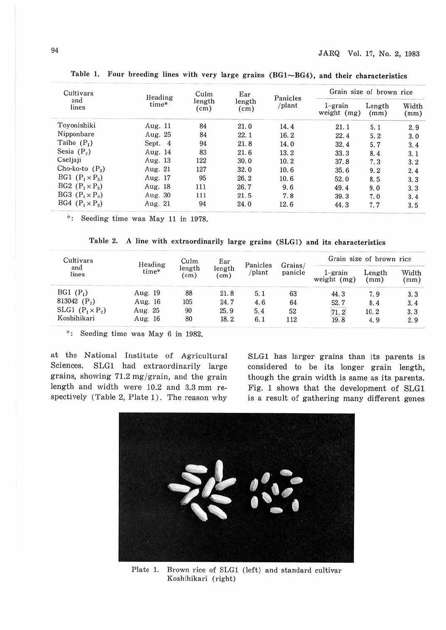| Cultivars              | Heading   | Culm           | Ear                                  |      | Grain size of brown rice  |                |               |
|------------------------|-----------|----------------|--------------------------------------|------|---------------------------|----------------|---------------|
| and<br>lines           | time*     | length<br>(cm) | Panicles<br>length<br>/plant<br>(cm) |      | $1$ -grain<br>weight (mg) | Length<br>(mm) | Width<br>(mm) |
| Tovonishiki            | Aug. $11$ | 84             | 21.0                                 | 14.4 | 21.1                      | 5.1            | 2.9           |
| Nipponbare             | Aug. 25   | 84             | 22.1                                 | 16.2 | 22.4                      | 5.2            | 3.0           |
| Taiho $(P_1)$          | Sept. 4   | 94             | 21.8                                 | 14.0 | 32.4                      | 5.7            | 3.4           |
| Sesia $(P_2)$          | Aug. 14   | 83             | 21.6                                 | 13.2 | 33.3                      | 8.4            | 3.1           |
| Cseljaji               | Aug. 13   | 122            | 30.0                                 | 10.2 | 37.8                      | 7.3            | 3.2           |
| Cho-ko-to $(P_3)$      | Aug. 21   | 127            | 32.0                                 | 10.6 | 35.6                      | 9.2            | 2.4           |
| BG1 $(P_1 \times P_3)$ | Aug. 17   | 95             | 26.2                                 | 10.6 | 52.0                      | 8.5            | 3.3           |
| BG2 $(P_1 \times P_3)$ | Aug. 18   | 111            | 26.7                                 | 9,6  | 49.4                      | 9.0            | 3.3           |
| BG3 $(P_1 \times P_2)$ | Aug. 30   | 111            | 21.5                                 | 7.8  | 39.3                      | 7.0            | 3.4           |
| BG4 $(P_1 \times P_2)$ | Aug. 21   | 94             | 24.0                                 | 12.6 | 44.3                      | 7.7            | 3.5           |

Table 1. Four breeding lines with very large grains (BG1~BG4), and their characteristics

\*: Seeding time was May 11 in 1978.

Table 2. A line with extraordinarily large grains (SLG1) and its characteristics

| Cultivars<br>and<br>lines | Heading<br>time*<br>25 P. P. G. S. E.O | Culm<br>length<br>$\text{cm}$ ) | Ear<br>length<br>(cm) | Panicles<br>/plant | Grains/<br>panicle | Grain size of brown rice  |                |               |
|---------------------------|----------------------------------------|---------------------------------|-----------------------|--------------------|--------------------|---------------------------|----------------|---------------|
|                           |                                        |                                 |                       |                    |                    | $1$ -grain<br>weight (mg) | Length<br>(mm) | Width<br>(mm) |
| $BGI(P_1)$                | Aug. 19                                | 88                              | 21.8                  | 5.1                | 63                 | 44.3                      | 7.9            | 3.3           |
| 813042 $(P_2)$            | Aug. 16                                | 105                             | 24.7                  | 4.6                | 64                 | 52.7                      | 8.4            | 3.4           |
| $SLG1$ $(P_1 \times P_2)$ | Aug. 25                                | 90                              | 25.9                  | 5.4                | 52                 | 71.2                      | 10.2           | 3,3           |
| Koshihikari               | Aug. 16                                | 80                              | 18.2                  | 6.1                | 112                | 19.8                      | 4.9            | 2.9           |

<sup>\*</sup>: Seeding time was May 6 in 1982.

at the National Institute of Agricultural Sciences. SLGl had extraordinarily large grains, showing  $71.2 \text{ mg/grain}$ , and the grain length and width were 10.2 and 3.3 mm respectively (Table 2, Plate 1). The reason why

SLGl has larger grains than its parents is considered to be its longer grain length, though the grain width is same as its parents. Fig. 1 shows that the development of SLGl is a result of gathering many different genes



Plate 1. Brown rice of SLG1 (left) and standard cultivar Koshihikari (right)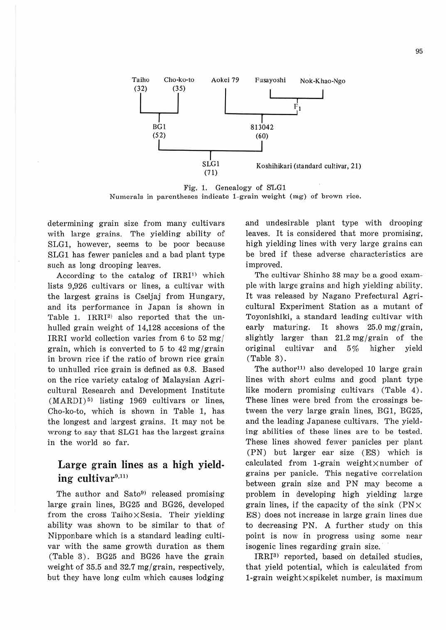

Fig. 1. Genealogy of S'LGl Numerals in parentheses indicate 1-grain weight (mg) of brown rice.

determining grain size from many cultivars with laxge grains. The yielding ability of SLGl, however, seems to be poor because SLGl has fewer panicles and a bad plant type such as long drooping leaves.

According to the catalog of  $IRRI<sup>1</sup>$  which lists 9,926 cultivars or lines, a cultivar with the largest grains is Cseljaj from Hungary, and its performance in Japan is shown in Table 1. IRRI<sup>2</sup> also reported that the unhulled grain weight of 14,128 accesions of the IRRI world collection varies from 6 to 52 mg/ grain, which is converted to 5 to 42 mg/grain in brown rice if the ratio of brown rice grain to unhulled rice grain is defined as 0.8. Based on the rice variety catalog of Malaysian Agricultural Research and Development Institute  $(MARDI)^{5}$  listing 1969 cultivars or lines, Cho-ko-to, which is shown in Table 1, has the longest and largest grains. It may not be wrong to say that SLGl has the largest grains in the world so far.

# **Large grain lines** as a **high yield-** $\text{ing}\text{}\text{}\text{cultivar}^{9,11}$

The author and  $Sato<sup>9</sup>$  released promising large grain lines, BG25 and BG26, developed from the cross Taiho $\times$ Sesia. Their yielding ability was shown to be similar to that of Nipponbare which is a standard leading cultivar with the same growth duration as them (Table 3). BG25 and BG26 have the grain weight of 35.5 and 32.7 mg/grain, respectively, but they have long culm which causes lodging

and undesirable plant type with drooping leaves. It is considered that more promising, high yielding lines with very large grains can be bred if these adverse characteristics are improved.

The cultivar Shinho 38 may be a good example with large grains and high yielding ability. It was released by Nagano Prefectural Agricultural Experiment Station as a mutant of Toyonishiki, a standard leading cultivar with early maturing. It shows  $25.0 \text{ mg}/\text{grain}$ , slightly larger than  $21.2 \text{ mg/grain}$  of the original cultivar and 5% higher yield (Table 3).

The author<sup>11)</sup> also developed 10 large grain lines with short culms and good plant type like modern promising cultivars (Table 4). These lines were bred from the crossings between the very large grain lines, BG1, BG25, and the leading Japanese cultivars. The yielding abilities of these lines are to be tested. These lines showed fewer panicles per plant (PN) but larger ear size (ES) which is calculated from 1-grain weight $\times$ number of grains per panicle. This negative correlation between grain size and PN may become a problem in developing high yielding large grain lines, if the capacity of the sink  $(PN \times$ ES) does not increase in large grain lines due to decreasing PN. A further study on this point is now in progress using some near isogenic lines regarding grain size.

IRRI<sup>3)</sup> reported, based on detailed studies, that yield potential, which is calcuhited from 1-grain weight $\times$ spikelet number, is maximum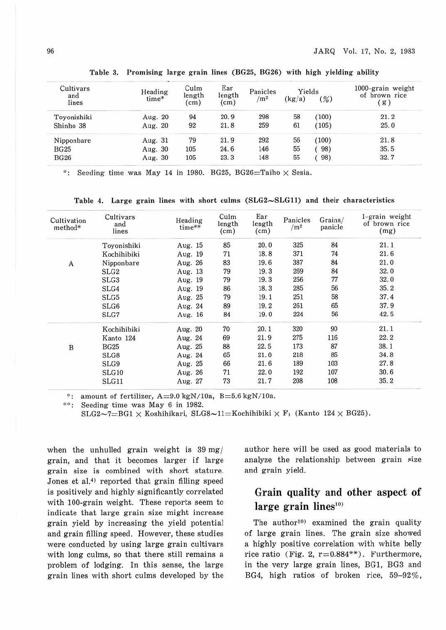| Cultivars    | Heading | Culm           | Ear                     | Panicles        | Yields |        | $1000$ -grain weight |  |
|--------------|---------|----------------|-------------------------|-----------------|--------|--------|----------------------|--|
| and<br>lines | time*   | length<br>(cm) | length<br>$\text{(cm)}$ | /m <sup>2</sup> | (kg/a) | $(\%)$ | of brown rice<br>(g) |  |
| Toyonishiki  | Aug. 20 | 94             | 20.9                    | 298             | 58     | (100)  | 21.2                 |  |
| Shinho 38    | Aug. 20 | 92             | 21.8                    | 259             | 61     | (105)  | 25.0                 |  |
| Nipponbare   | Aug. 31 | 79             | 21.9                    | 292             | 56     | (100)  | 21.8                 |  |
| <b>BG25</b>  | Aug. 30 | 105            | 24.6                    | 146             | 55     | 98)    | 35.5                 |  |
| <b>BG26</b>  | Aug. 30 | 105            | 23.3                    | 148             | 55     | 98)    | 32.7                 |  |

Ta ble 3. Promising large grain lines (BG25, BG26) with high yielding ability

<sup>9</sup>: Seeding time was May 14 in 1980. BG25, BG26=Taiho  $\times$  Sesia.

Table 4. Large grain lines with short culms  $(SLG2 \sim SLG11)$  and their characteristics

| Cultivation<br>method* | Cultivars<br>and<br>lines | Heading<br>$time**$ | Culm<br>length<br>(cm) | Ear<br>length<br>(cm) | Panicles<br>/m <sup>2</sup> | Grains/<br>panicle | 1-grain weight<br>of brown rice<br>(mg) |
|------------------------|---------------------------|---------------------|------------------------|-----------------------|-----------------------------|--------------------|-----------------------------------------|
|                        | Toyonishiki               | Aug. 15             | 85                     | 20.0                  | 325                         | 84                 | 21.1                                    |
|                        | Kochihibiki               | Aug. 19             | 71                     | 18.8                  | 371                         | 74                 | 21.6                                    |
| A                      | Nipponbare                | Aug. 26             | 83                     | 19.6                  | 387                         | 84                 | 21.0                                    |
|                        | SLG <sub>2</sub>          | Aug. 13             | 79                     | 19.3                  | 269                         | 84                 | 32.0                                    |
|                        | SLG <sub>3</sub>          | Aug. 19             | 79                     | 19.3                  | 256                         | $77\,$             | 32.0                                    |
|                        | SLG4                      | Aug. 19             | 86                     | 18.3                  | 285                         | 56                 | 35.2                                    |
|                        | SLG5                      | Aug. 25             | 79                     | 19.1                  | 251                         | 58                 | 37.4                                    |
|                        | SLG6                      | Aug. 24             | 89                     | 19.2                  | 261                         | 65                 | 37.9                                    |
|                        | SLG7                      | Aug. 16             | 84                     | 19.0                  | 224                         | 56                 | 42.5                                    |
|                        | Kochihibiki               | Aug. 20             | 70                     | 20.1                  | 320                         | 90                 | 21.1                                    |
|                        | Kanto 124                 | Aug. 24             | 69                     | 21.9                  | 275                         | 116                | 22.2                                    |
| $\overline{B}$         | <b>BG25</b>               | Aug. 25             | 88                     | 22.5                  | 173                         | 87                 | 38.1                                    |
|                        | SLG8                      | Aug. 24             | 65                     | 21.0                  | 218                         | 85                 | 34.8                                    |
|                        | SLG9                      | Aug. 25             | 66                     | 21.6                  | 189                         | 103                | 27.8                                    |
|                        | SLG10                     | Aug. 26             | 71                     | 22.0                  | 192                         | 107                | 30.6                                    |
|                        | SLG11                     | Aug. 27             | 73                     | 21.7                  | 208                         | 108                | 35.2                                    |

\*: amount of fertilizer,  $A=9.0 \text{ kgN}/10a$ ,  $B=5.6 \text{ kgN}/10a$ .<br>\*\*: Seeding time was May 6 in 1982.

SLG2~7=BG1  $\times$  Koshihikari, SLG8~11=Kochihibiki  $\times$  F<sub>1</sub> (Kanto 124  $\times$  BG25).

when the unhulled grain weight is 39 mg/ grain, and that it becomes larger if large grain size is combined with short stature. Jones et al.<sup>4)</sup> reported that grain filling speed is positively and highly significantly correlated with 100-grain weight. These reports seem to indicate that large grain size might increase grain yield by increasing the yield potential and grain filling speed. However, these studies were conducted by using large grain cultivars with long culms, so that there still remains a problem of lodging. In this sense, the large grain lines with short culms developed by the author here will be used as good materials to analyze the relationship between grain size and grain yield.

### **Grain quality and other aspect of**  large grain lines<sup>10</sup>

The author<sup>10)</sup> examined the grain quality of large grain lines. The grain size showed a highly positive correlation with white belly rice ratio (Fig. 2,  $r=0.884**$ ). Furthermore, in the very large grain lines, BGl, BG3 and BG4, high ratios of broken rice, 59-92% ,